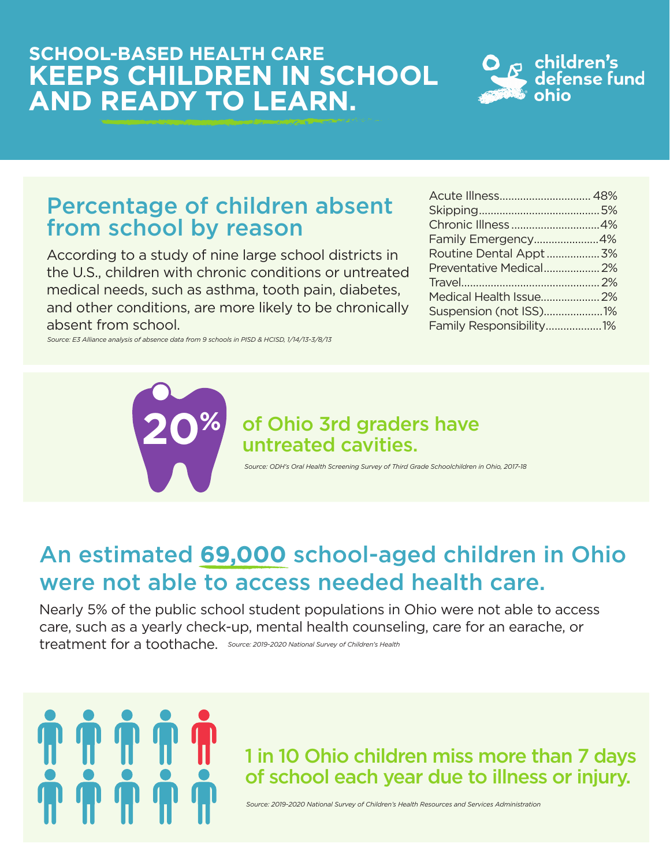#### **SCHOOL-BASED HEALTH CARE KEEPS CHILDREN IN SCHOOL AND READY TO LEARN.**



#### Percentage of children absent from school by reason

According to a study of nine large school districts in the U.S., children with chronic conditions or untreated medical needs, such as asthma, tooth pain, diabetes, and other conditions, are more likely to be chronically absent from school.

*Source: E3 Alliance analysis of absence data from 9 schools in PISD & HCISD, 1/14/13-3/8/13*

**%**

| Family Emergency4%      |  |
|-------------------------|--|
| Routine Dental Appt3%   |  |
| Preventative Medical 2% |  |
|                         |  |
| Medical Health Issue 2% |  |
| Suspension (not ISS)1%  |  |
| Family Responsibility1% |  |

## of Ohio 3rd graders have **20** untreated cavities.

*Source: ODH's Oral Health Screening Survey of Third Grade Schoolchildren in Ohio, 2017-18*

#### An estimated **69,000** school-aged children in Ohio were not able to access needed health care.

Nearly 5% of the public school student populations in Ohio were not able to access care, such as a yearly check-up, mental health counseling, care for an earache, or treatment for a toothache. *Source: 2019-2020 National Survey of Children's Health*



#### 1 in 10 Ohio children miss more than 7 days of school each year due to illness or injury.

*Source: 2019-2020 National Survey of Children's Health Resources and Services Administration*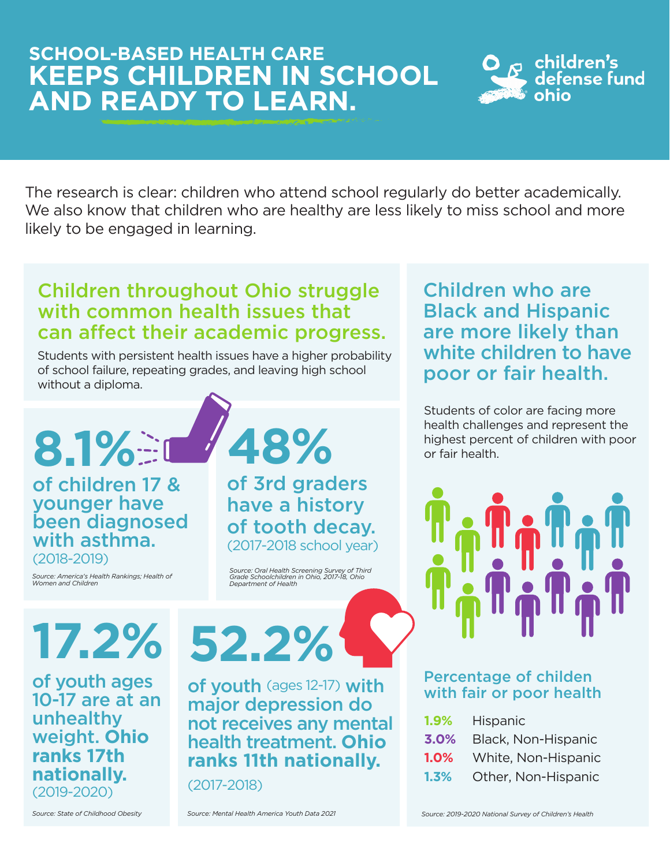#### **SCHOOL-BASED HEALTH CARE KEEPS CHILDREN IN SCHOOL AND READY TO LEARN.**



The research is clear: children who attend school regularly do better academically. We also know that children who are healthy are less likely to miss school and more likely to be engaged in learning.

#### Children throughout Ohio struggle with common health issues that can affect their academic progress.

Students with persistent health issues have a higher probability of school failure, repeating grades, and leaving high school without a diploma.

of children 17 & younger have been diagnosed with asthma.

(2018-2019)

*Source: America's Health Rankings; Health of Women and Children* 

**48%**

of 3rd graders have a history of tooth decay. (2017-2018 school year)

*Source: Oral Health Screening Survey of Third Grade Schoolchildren in Ohio, 2017-18, Ohio Department of Health*

**17.2%** of youth ages

10-17 are at an unhealthy weight. **Ohio ranks 17th nationally.** (2019-2020)

#### **52.2%** of youth (ages 12-17) with major depression do not receives any mental health treatment. **Ohio**

**ranks 11th nationally.**

(2017-2018)

*Source: State of Childhood Obesity Source: Mental Health America Youth Data 2021*

Children who are Black and Hispanic are more likely than white children to have poor or fair health.

Students of color are facing more health challenges and represent the **8.1%** or fair health.



#### Percentage of childen with fair or poor health

| 1.9%    | <b>Hispanic</b>     |
|---------|---------------------|
| 3.0%    | Black, Non-Hispanic |
| 1.0%    | White, Non-Hispanic |
| $1.3\%$ | Other, Non-Hispanic |

*Source: 2019-2020 National Survey of Children's Health*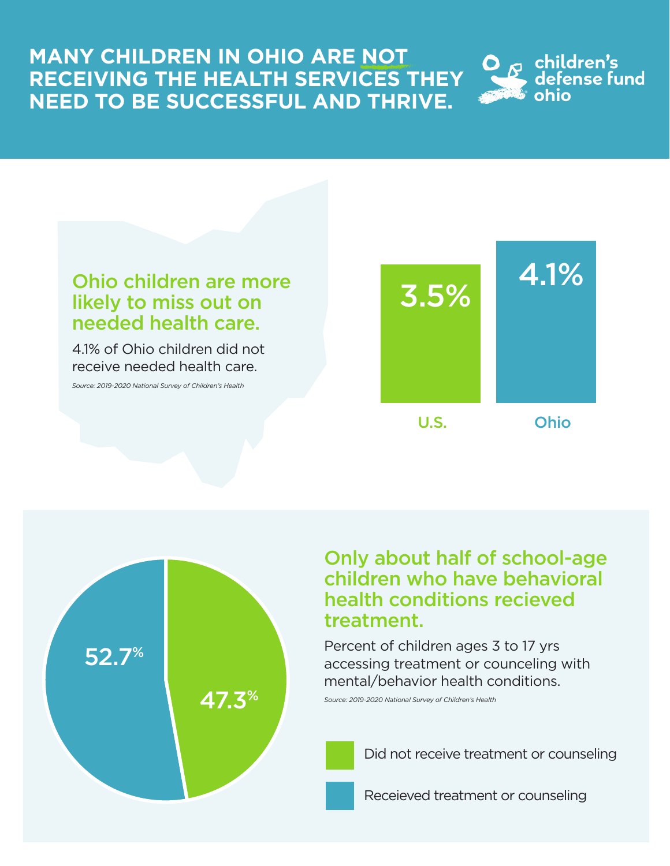#### **MANY CHILDREN IN OHIO ARE NOT RECEIVING THE HEALTH SERVICES THEY NEED TO BE SUCCESSFUL AND THRIVE.**





47.3%

4.1% of Ohio children did not receive needed health care.

*Source: 2019-2020 National Survey of Children's Health*

52.7%



Only about half of school-age children who have behavioral health conditions recieved treatment.

Percent of children ages 3 to 17 yrs accessing treatment or counceling with mental/behavior health conditions.

*Source: 2019-2020 National Survey of Children's Health*

Did not receive treatment or counseling

Receieved treatment or counseling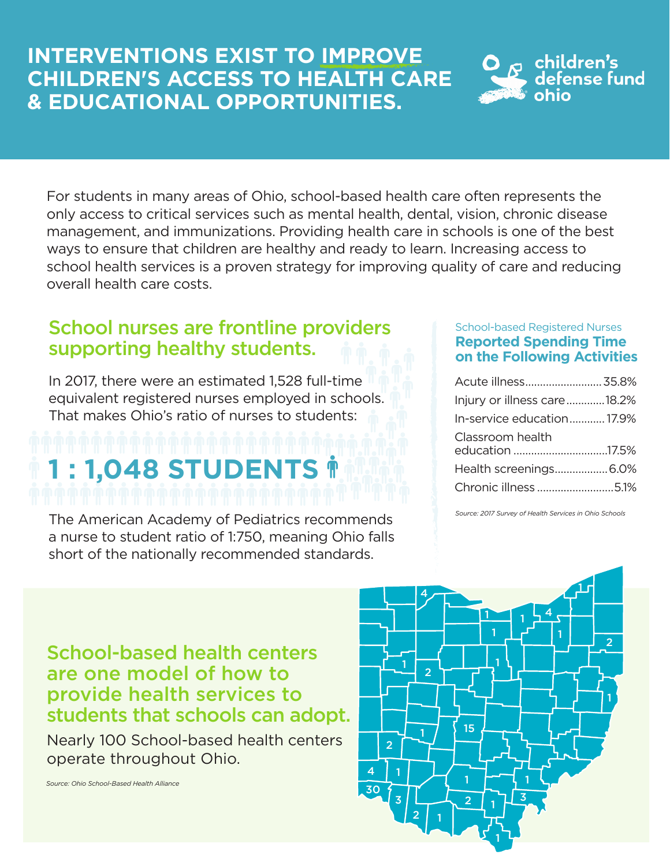#### **INTERVENTIONS EXIST TO IMPROVE CHILDREN'S ACCESS TO HEALTH CARE & EDUCATIONAL OPPORTUNITIES.**



For students in many areas of Ohio, school-based health care often represents the only access to critical services such as mental health, dental, vision, chronic disease management, and immunizations. Providing health care in schools is one of the best ways to ensure that children are healthy and ready to learn. Increasing access to school health services is a proven strategy for improving quality of care and reducing overall health care costs.

#### School nurses are frontline providers supporting healthy students.

In 2017, there were an estimated 1,528 full-time equivalent registered nurses employed in schools. That makes Ohio's ratio of nurses to students:

# **1 : 1,048 STUDENTS**

The American Academy of Pediatrics recommends a nurse to student ratio of 1:750, meaning Ohio falls short of the nationally recommended standards.

#### School-based Registered Nurses **Reported Spending Time on the Following Activities**

| Acute illness 35.8%                 |  |
|-------------------------------------|--|
| Injury or illness care18.2%         |  |
| In-service education17.9%           |  |
| Classroom health<br>education 17.5% |  |
| Health screenings6.0%               |  |
| Chronic illness5.1%                 |  |

*Source: 2017 Survey of Health Services in Ohio Schools*

School-based health centers are one model of how to provide health services to students that schools can adopt.

Nearly 100 School-based health centers operate throughout Ohio.



*Source: Ohio School-Based Health Alliance*